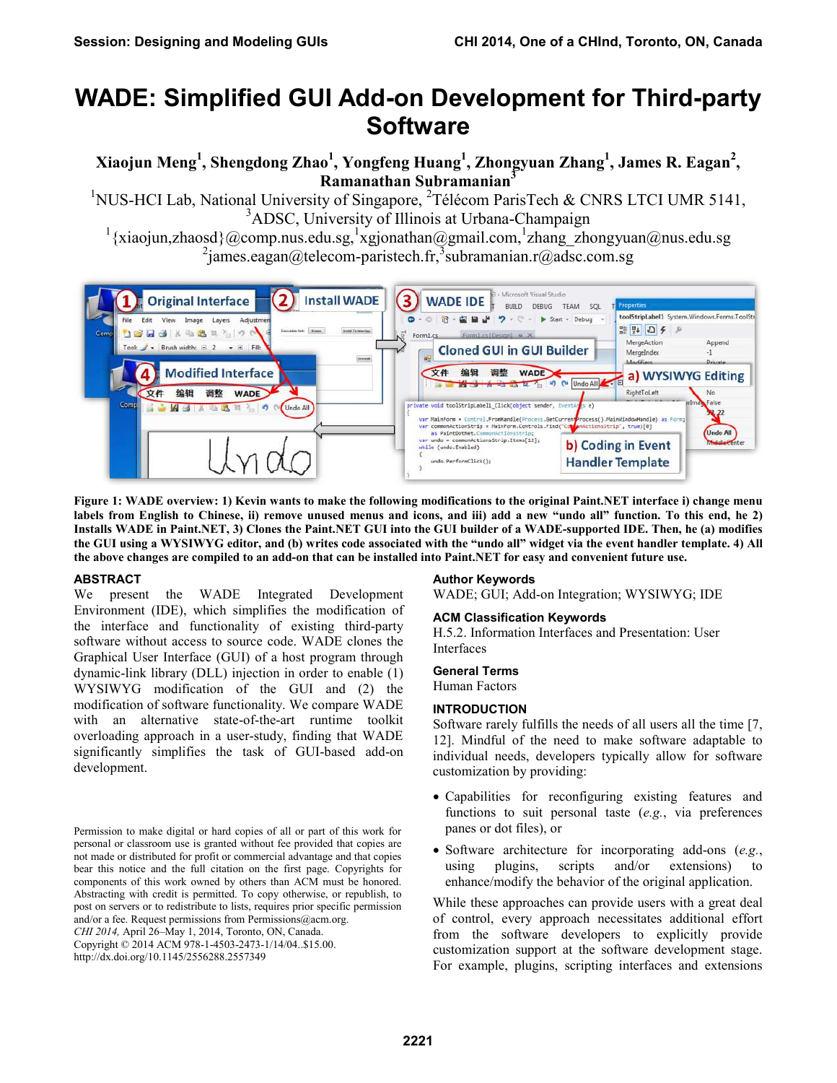# **WADE: Simplified GUI Add-on Development for Third-party Software**

**Xiaojun Meng1 , Shengdong Zhao1 , Yongfeng Huang1 , Zhongyuan Zhang1 , James R. Eagan<sup>2</sup> , Ramanathan Subramanian3**

<sup>1</sup>NUS-HCI Lab, National University of Singapore, <sup>2</sup>Télécom ParisTech & CNRS LTCI UMR 5141, <sup>3</sup>ADSC, University of Illinois at Urbana-Champaign

<sup>1</sup>{xiaojun,zhaosd}@comp.nus.edu.sg,<sup>1</sup>xgjonathan@gmail.com,<sup>1</sup>zhang\_zhongyuan@nus.edu.sg  $^{2}$ james.eagan@telecom-paristech.fr, subramanian.r@adsc.com.sg



**Figure 1: WADE overview: 1) Kevin wants to make the following modifications to the original Paint.NET interface i) change menu labels from English to Chinese, ii) remove unused menus and icons, and iii) add a new "undo all" function. To this end, he 2) Installs WADE in Paint.NET, 3) Clones the Paint.NET GUI into the GUI builder of a WADE-supported IDE. Then, he (a) modifies the GUI using a WYSIWYG editor, and (b) writes code associated with the "undo all" widget via the event handler template. 4) All the above changes are compiled to an add-on that can be installed into Paint.NET for easy and convenient future use.** 

#### **ABSTRACT**

We present the WADE Integrated Development Environment (IDE), which simplifies the modification of the interface and functionality of existing third-party software without access to source code. WADE clones the Graphical User Interface (GUI) of a host program through dynamic-link library (DLL) injection in order to enable (1) WYSIWYG modification of the GUI and (2) the modification of software functionality. We compare WADE with an alternative state-of-the-art runtime toolkit overloading approach in a user-study, finding that WADE significantly simplifies the task of GUI-based add-on development.

Permission to make digital or hard copies of all or part of this work for personal or classroom use is granted without fee provided that copies are not made or distributed for profit or commercial advantage and that copies bear this notice and the full citation on the first page. Copyrights for components of this work owned by others than ACM must be honored. Abstracting with credit is permitted. To copy otherwise, or republish, to post on servers or to redistribute to lists, requires prior specific permission and/or a fee. Request permissions from Permissions@acm.org. *CHI 2014,* April 26–May 1, 2014, Toronto, ON, Canada.

Copyright © 2014 ACM 978-1-4503-2473-1/14/04..\$15.00.

<http://dx.doi.org/10.1145/2556288.2557349>

#### **Author Keywords**

WADE; GUI; Add-on Integration; WYSIWYG; IDE

#### **ACM Classification Keywords**

H.5.2. Information Interfaces and Presentation: User Interfaces

#### **General Terms**

Human Factors

### **INTRODUCTION**

Software rarely fulfills the needs of all users all the time [\[7,](#page-9-0)  [12\]](#page-9-1). Mindful of the need to make software adaptable to individual needs, developers typically allow for software customization by providing:

- Capabilities for reconfiguring existing features and functions to suit personal taste (*e.g.*, via preferences panes or dot files), or
- Software architecture for incorporating add-ons (*e.g.*, using plugins, scripts and/or extensions) to enhance/modify the behavior of the original application.

While these approaches can provide users with a great deal of control, every approach necessitates additional effort from the software developers to explicitly provide customization support at the software development stage. For example, plugins, scripting interfaces and extensions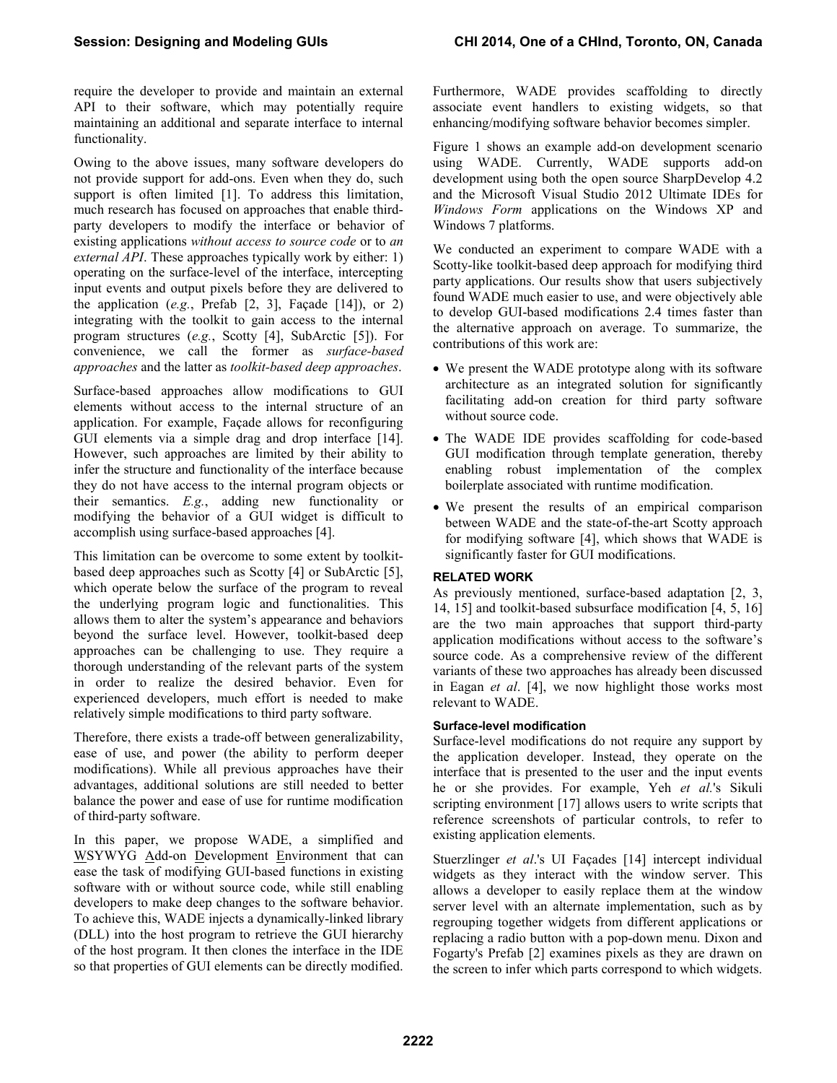require the developer to provide and maintain an external API to their software, which may potentially require maintaining an additional and separate interface to internal functionality.

Owing to the above issues, many software developers do not provide support for add-ons. Even when they do, such support is often limited [\[1\]](#page-9-2). To address this limitation, much research has focused on approaches that enable thirdparty developers to modify the interface or behavior of existing applications *without access to source code* or to *an external API*. These approaches typically work by either: 1) operating on the surface-level of the interface, intercepting input events and output pixels before they are delivered to the application  $(e.g., Prefab [2, 3], Façade [14]),$  $(e.g., Prefab [2, 3], Façade [14]),$  $(e.g., Prefab [2, 3], Façade [14]),$  $(e.g., Prefab [2, 3], Façade [14]),$  $(e.g., Prefab [2, 3], Façade [14]),$  $(e.g., Prefab [2, 3], Façade [14]),$  $(e.g., Prefab [2, 3], Façade [14]),$  or 2) integrating with the toolkit to gain access to the internal program structures (*e.g.*, Scotty [\[4\]](#page-9-6), SubArctic [\[5\]](#page-9-7)). For convenience, we call the former as *surface-based approaches* and the latter as *toolkit-based deep approaches*.

Surface-based approaches allow modifications to GUI elements without access to the internal structure of an application. For example, Façade allows for reconfiguring GUI elements via a simple drag and drop interface [\[14\]](#page-9-5). However, such approaches are limited by their ability to infer the structure and functionality of the interface because they do not have access to the internal program objects or their semantics. *E.g.*, adding new functionality or modifying the behavior of a GUI widget is difficult to accomplish using surface-based approaches [\[4\]](#page-9-6).

This limitation can be overcome to some extent by toolkitbased deep approaches such as Scotty [\[4\]](#page-9-6) or SubArctic [\[5\]](#page-9-7), which operate below the surface of the program to reveal the underlying program logic and functionalities. This allows them to alter the system's appearance and behaviors beyond the surface level. However, toolkit-based deep approaches can be challenging to use. They require a thorough understanding of the relevant parts of the system in order to realize the desired behavior. Even for experienced developers, much effort is needed to make relatively simple modifications to third party software.

Therefore, there exists a trade-off between generalizability, ease of use, and power (the ability to perform deeper modifications). While all previous approaches have their advantages, additional solutions are still needed to better balance the power and ease of use for runtime modification of third-party software.

In this paper, we propose WADE, a simplified and WSYWYG Add-on Development Environment that can ease the task of modifying GUI-based functions in existing software with or without source code, while still enabling developers to make deep changes to the software behavior. To achieve this, WADE injects a dynamically-linked library (DLL) into the host program to retrieve the GUI hierarchy of the host program. It then clones the interface in the IDE so that properties of GUI elements can be directly modified.

Furthermore, WADE provides scaffolding to directly associate event handlers to existing widgets, so that enhancing/modifying software behavior becomes simpler.

Figure 1 shows an example add-on development scenario using WADE. Currently, WADE supports add-on development using both the open source SharpDevelop 4.2 and the Microsoft Visual Studio 2012 Ultimate IDEs for *Windows Form* applications on the Windows XP and Windows 7 platforms.

We conducted an experiment to compare WADE with a Scotty-like toolkit-based deep approach for modifying third party applications. Our results show that users subjectively found WADE much easier to use, and were objectively able to develop GUI-based modifications 2.4 times faster than the alternative approach on average. To summarize, the contributions of this work are:

- We present the WADE prototype along with its software architecture as an integrated solution for significantly facilitating add-on creation for third party software without source code.
- The WADE IDE provides scaffolding for code-based GUI modification through template generation, thereby enabling robust implementation of the complex boilerplate associated with runtime modification.
- We present the results of an empirical comparison between WADE and the state-of-the-art Scotty approach for modifying software [\[4\]](#page-9-6), which shows that WADE is significantly faster for GUI modifications.

# **RELATED WORK**

As previously mentioned, surface-based adaptation [\[2,](#page-9-3) [3,](#page-9-4) [14,](#page-9-5) [15\]](#page-9-8) and toolkit-based subsurface modification [\[4,](#page-9-6) [5,](#page-9-7) [16\]](#page-9-9) are the two main approaches that support third-party application modifications without access to the software's source code. As a comprehensive review of the different variants of these two approaches has already been discussed in Eagan *et al*. [\[4\]](#page-9-6), we now highlight those works most relevant to WADE.

# **Surface-level modification**

Surface-level modifications do not require any support by the application developer. Instead, they operate on the interface that is presented to the user and the input events he or she provides. For example, Yeh *et al.*'s Sikuli scripting environment [\[17\]](#page-9-10) allows users to write scripts that reference screenshots of particular controls, to refer to existing application elements.

Stuerzlinger *et al*.'s UI Façades [\[14\]](#page-9-5) intercept individual widgets as they interact with the window server. This allows a developer to easily replace them at the window server level with an alternate implementation, such as by regrouping together widgets from different applications or replacing a radio button with a pop-down menu. Dixon and Fogarty's Prefab [\[2\]](#page-9-3) examines pixels as they are drawn on the screen to infer which parts correspond to which widgets.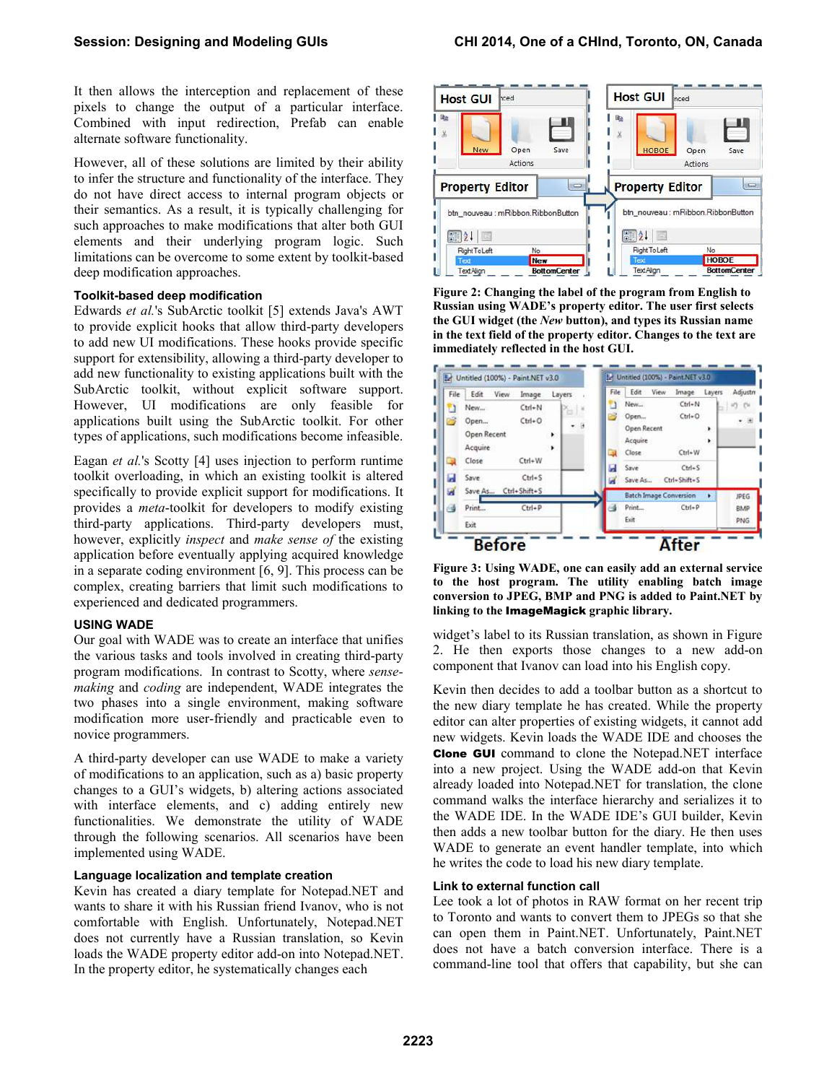It then allows the interception and replacement of these pixels to change the output of a particular interface. Combined with input redirection, Prefab can enable alternate software functionality.

However, all of these solutions are limited by their ability to infer the structure and functionality of the interface. They do not have direct access to internal program objects or their semantics. As a result, it is typically challenging for such approaches to make modifications that alter both GUI elements and their underlying program logic. Such limitations can be overcome to some extent by toolkit-based deep modification approaches.

#### **Toolkit-based deep modification**

Edwards *et al.*'s SubArctic toolkit [\[5\]](#page-9-7) extends Java's AWT to provide explicit hooks that allow third-party developers to add new UI modifications. These hooks provide specific support for extensibility, allowing a third-party developer to add new functionality to existing applications built with the SubArctic toolkit, without explicit software support. However, UI modifications are only feasible for applications built using the SubArctic toolkit. For other types of applications, such modifications become infeasible.

Eagan *et al.*'s Scotty [\[4\]](#page-9-6) uses injection to perform runtime toolkit overloading, in which an existing toolkit is altered specifically to provide explicit support for modifications. It provides a *meta*-toolkit for developers to modify existing third-party applications. Third-party developers must, however, explicitly *inspect* and *make sense of* the existing application before eventually applying acquired knowledge in a separate coding environment [\[6,](#page-9-11) [9\]](#page-9-12). This process can be complex, creating barriers that limit such modifications to experienced and dedicated programmers.

#### **USING WADE**

Our goal with WADE was to create an interface that unifies the various tasks and tools involved in creating third-party program modifications. In contrast to Scotty, where *sensemaking* and *coding* are independent, WADE integrates the two phases into a single environment, making software modification more user-friendly and practicable even to novice programmers.

A third-party developer can use WADE to make a variety of modifications to an application, such as a) basic property changes to a GUI's widgets, b) altering actions associated with interface elements, and c) adding entirely new functionalities. We demonstrate the utility of WADE through the following scenarios. All scenarios have been implemented using WADE.

#### **Language localization and template creation**

Kevin has created a diary template for Notepad.NET and wants to share it with his Russian friend Ivanov, who is not comfortable with English. Unfortunately, Notepad.NET does not currently have a Russian translation, so Kevin loads the WADE property editor add-on into Notepad.NET. In the property editor, he systematically changes each



**Figure 2: Changing the label of the program from English to Russian using WADE's property editor. The user first selects the GUI widget (the** *New* **button), and types its Russian name in the text field of the property editor. Changes to the text are immediately reflected in the host GUI.** 

| File<br>œ,<br>щ<br>ы | Edit View<br>Image<br>$Ctrl + N$<br>New<br>$Ctrl + O$<br>Open<br>Open Recent<br>Acquire<br>Close<br>$Ctrl + W$<br>$Ctrl - S$<br>Save | Layers<br>gail.<br>B<br>×<br>۰. | File<br>Ы<br>я | Edit View<br>New<br>Open<br>Open Recent<br>Acquire<br>Close<br>Save<br>Save As Ctrl+Shift+S | Image<br>$Ctrl - N$<br>$Ctrl \cdot O$<br>Ctrl+W<br>$Ctrl + S$ | Layers               | Adjustm                   |
|----------------------|--------------------------------------------------------------------------------------------------------------------------------------|---------------------------------|----------------|---------------------------------------------------------------------------------------------|---------------------------------------------------------------|----------------------|---------------------------|
| ы                    | Save As Ctrl+Shift+S<br>$Ctrl + P$<br>Print<br>Exit                                                                                  |                                 |                | <b>Batch Image Conversion</b><br>Print<br>Exit                                              | $Ctrl + P$                                                    | $\ddot{\phantom{1}}$ | JPEG<br><b>BMP</b><br>PNG |

**Figure 3: Using WADE, one can easily add an external service to the host program. The utility enabling batch image conversion to JPEG, BMP and PNG is added to Paint.NET by linking to the** ImageMagick **graphic library.** 

widget's label to its Russian translation, as shown in Figure 2. He then exports those changes to a new add-on component that Ivanov can load into his English copy.

Kevin then decides to add a toolbar button as a shortcut to the new diary template he has created. While the property editor can alter properties of existing widgets, it cannot add new widgets. Kevin loads the WADE IDE and chooses the Clone GUI command to clone the Notepad.NET interface into a new project. Using the WADE add-on that Kevin already loaded into Notepad.NET for translation, the clone command walks the interface hierarchy and serializes it to the WADE IDE. In the WADE IDE's GUI builder, Kevin then adds a new toolbar button for the diary. He then uses WADE to generate an event handler template, into which he writes the code to load his new diary template.

#### **Link to external function call**

Lee took a lot of photos in RAW format on her recent trip to Toronto and wants to convert them to JPEGs so that she can open them in Paint.NET. Unfortunately, Paint.NET does not have a batch conversion interface. There is a command-line tool that offers that capability, but she can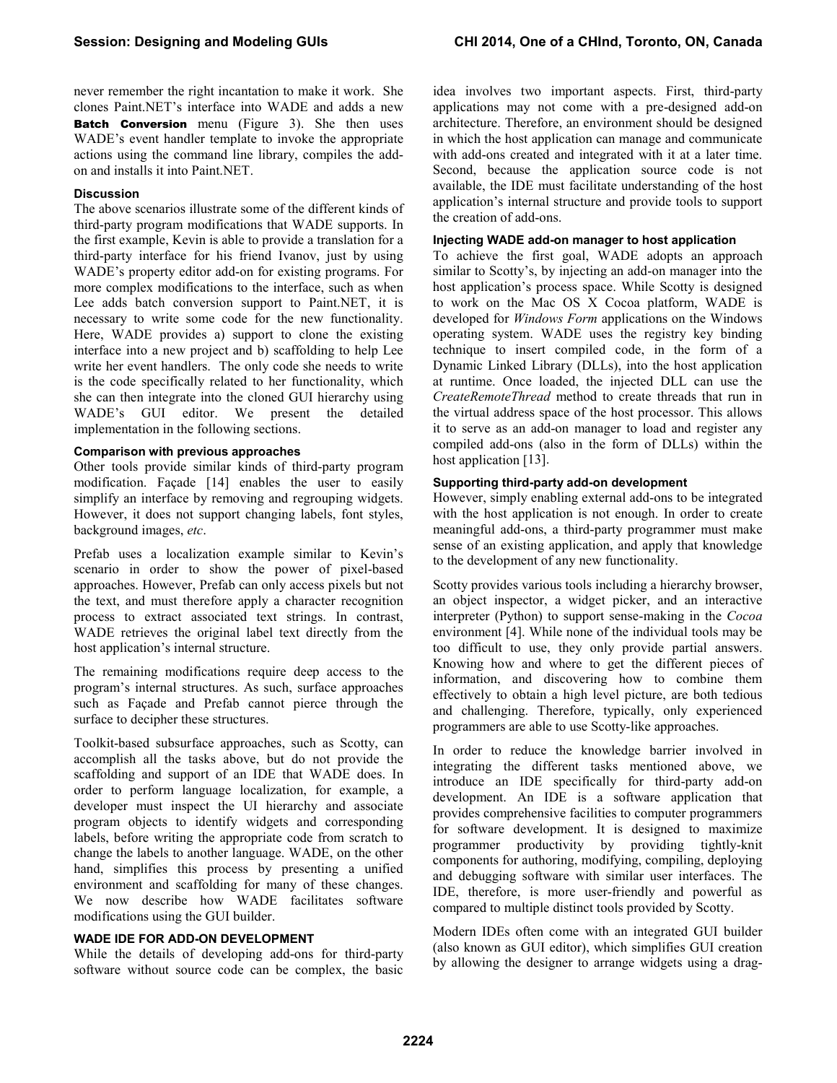never remember the right incantation to make it work. She clones Paint.NET's interface into WADE and adds a new Batch Conversion menu (Figure 3). She then uses WADE's event handler template to invoke the appropriate actions using the command line library, compiles the addon and installs it into Paint.NET.

#### **Discussion**

The above scenarios illustrate some of the different kinds of third-party program modifications that WADE supports. In the first example, Kevin is able to provide a translation for a third-party interface for his friend Ivanov, just by using WADE's property editor add-on for existing programs. For more complex modifications to the interface, such as when Lee adds batch conversion support to Paint.NET, it is necessary to write some code for the new functionality. Here, WADE provides a) support to clone the existing interface into a new project and b) scaffolding to help Lee write her event handlers. The only code she needs to write is the code specifically related to her functionality, which she can then integrate into the cloned GUI hierarchy using WADE's GUI editor. We present the detailed implementation in the following sections.

#### **Comparison with previous approaches**

Other tools provide similar kinds of third-party program modification. Façade [\[14\]](#page-9-5) enables the user to easily simplify an interface by removing and regrouping widgets. However, it does not support changing labels, font styles, background images, *etc*.

Prefab uses a localization example similar to Kevin's scenario in order to show the power of pixel-based approaches. However, Prefab can only access pixels but not the text, and must therefore apply a character recognition process to extract associated text strings. In contrast, WADE retrieves the original label text directly from the host application's internal structure.

The remaining modifications require deep access to the program's internal structures. As such, surface approaches such as Façade and Prefab cannot pierce through the surface to decipher these structures.

Toolkit-based subsurface approaches, such as Scotty, can accomplish all the tasks above, but do not provide the scaffolding and support of an IDE that WADE does. In order to perform language localization, for example, a developer must inspect the UI hierarchy and associate program objects to identify widgets and corresponding labels, before writing the appropriate code from scratch to change the labels to another language. WADE, on the other hand, simplifies this process by presenting a unified environment and scaffolding for many of these changes. We now describe how WADE facilitates software modifications using the GUI builder.

#### **WADE IDE FOR ADD-ON DEVELOPMENT**

While the details of developing add-ons for third-party software without source code can be complex, the basic

idea involves two important aspects. First, third-party applications may not come with a pre-designed add-on architecture. Therefore, an environment should be designed in which the host application can manage and communicate with add-ons created and integrated with it at a later time. Second, because the application source code is not available, the IDE must facilitate understanding of the host application's internal structure and provide tools to support the creation of add-ons.

#### **Injecting WADE add-on manager to host application**

To achieve the first goal, WADE adopts an approach similar to Scotty's, by injecting an add-on manager into the host application's process space. While Scotty is designed to work on the Mac OS X Cocoa platform, WADE is developed for *Windows Form* applications on the Windows operating system. WADE uses the registry key binding technique to insert compiled code, in the form of a Dynamic Linked Library (DLLs), into the host application at runtime. Once loaded, the injected DLL can use the *CreateRemoteThread* method to create threads that run in the virtual address space of the host processor. This allows it to serve as an add-on manager to load and register any compiled add-ons (also in the form of DLLs) within the host application [\[13\]](#page-9-13).

#### **Supporting third-party add-on development**

However, simply enabling external add-ons to be integrated with the host application is not enough. In order to create meaningful add-ons, a third-party programmer must make sense of an existing application, and apply that knowledge to the development of any new functionality.

Scotty provides various tools including a hierarchy browser, an object inspector, a widget picker, and an interactive interpreter (Python) to support sense-making in the *Cocoa* environment [\[4\]](#page-9-6). While none of the individual tools may be too difficult to use, they only provide partial answers. Knowing how and where to get the different pieces of information, and discovering how to combine them effectively to obtain a high level picture, are both tedious and challenging. Therefore, typically, only experienced programmers are able to use Scotty-like approaches.

In order to reduce the knowledge barrier involved in integrating the different tasks mentioned above, we introduce an IDE specifically for third-party add-on development. An IDE is a software application that provides comprehensive facilities to computer programmers for software development. It is designed to maximize programmer productivity by providing tightly-knit components for authoring, modifying, compiling, deploying and debugging software with similar user interfaces. The IDE, therefore, is more user-friendly and powerful as compared to multiple distinct tools provided by Scotty.

Modern IDEs often come with an integrated GUI builder (also known as GUI editor), which simplifies GUI creation by allowing the designer to arrange widgets using a drag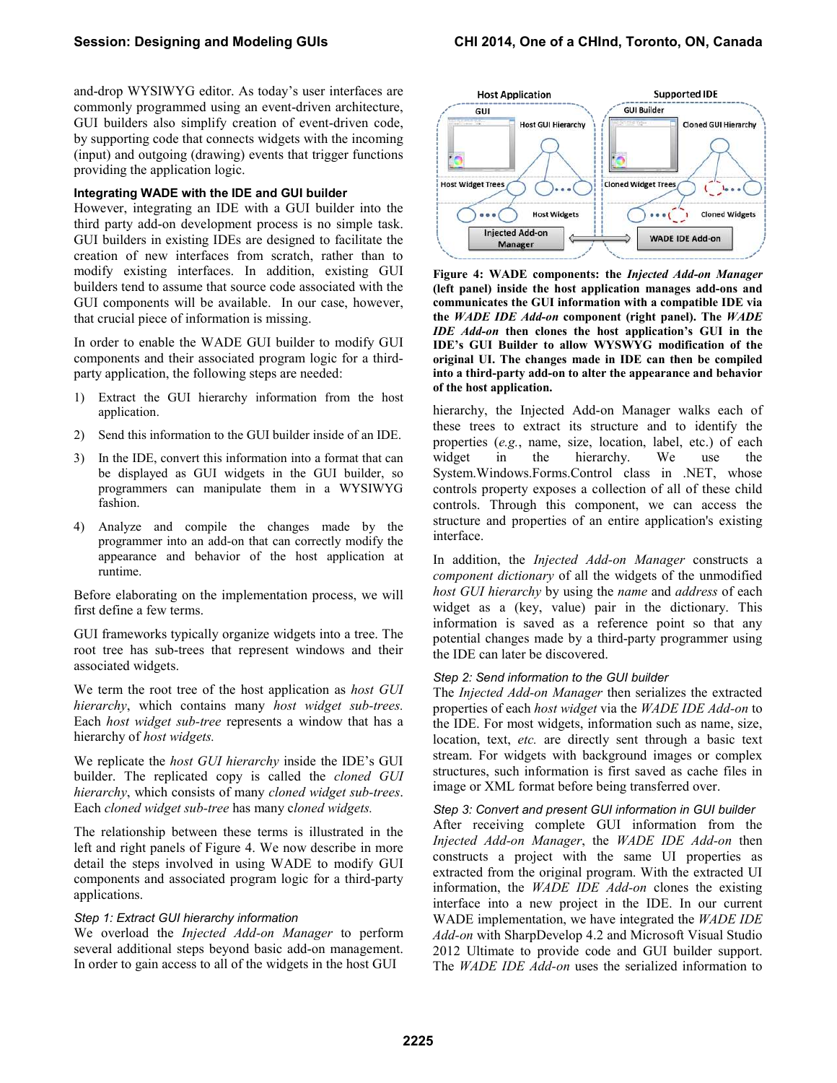and-drop WYSIWYG editor. As today's user interfaces are commonly programmed using an event-driven architecture, GUI builders also simplify creation of event-driven code, by supporting code that connects widgets with the incoming (input) and outgoing (drawing) events that trigger functions providing the application logic.

#### **Integrating WADE with the IDE and GUI builder**

However, integrating an IDE with a GUI builder into the third party add-on development process is no simple task. GUI builders in existing IDEs are designed to facilitate the creation of new interfaces from scratch, rather than to modify existing interfaces. In addition, existing GUI builders tend to assume that source code associated with the GUI components will be available. In our case, however, that crucial piece of information is missing.

In order to enable the WADE GUI builder to modify GUI components and their associated program logic for a thirdparty application, the following steps are needed:

- 1) Extract the GUI hierarchy information from the host application.
- 2) Send this information to the GUI builder inside of an IDE.
- 3) In the IDE, convert this information into a format that can be displayed as GUI widgets in the GUI builder, so programmers can manipulate them in a WYSIWYG fashion.
- 4) Analyze and compile the changes made by the programmer into an add-on that can correctly modify the appearance and behavior of the host application at runtime.

Before elaborating on the implementation process, we will first define a few terms.

GUI frameworks typically organize widgets into a tree. The root tree has sub-trees that represent windows and their associated widgets.

We term the root tree of the host application as *host GUI hierarchy*, which contains many *host widget sub-trees.*  Each *host widget sub-tree* represents a window that has a hierarchy of *host widgets.*

We replicate the *host GUI hierarchy* inside the IDE's GUI builder. The replicated copy is called the *cloned GUI hierarchy*, which consists of many *cloned widget sub-trees*. Each *cloned widget sub-tree* has many c*loned widgets.*

The relationship between these terms is illustrated in the left and right panels of Figure 4. We now describe in more detail the steps involved in using WADE to modify GUI components and associated program logic for a third-party applications.

#### *Step 1: Extract GUI hierarchy information*

We overload the *Injected Add-on Manager* to perform several additional steps beyond basic add-on management. In order to gain access to all of the widgets in the host GUI



**Figure 4: WADE components: the** *Injected Add-on Manager* **(left panel) inside the host application manages add-ons and communicates the GUI information with a compatible IDE via the** *WADE IDE Add-on* **component (right panel). The** *WADE IDE Add-on* **then clones the host application's GUI in the IDE's GUI Builder to allow WYSWYG modification of the original UI. The changes made in IDE can then be compiled into a third-party add-on to alter the appearance and behavior of the host application.**

hierarchy, the Injected Add-on Manager walks each of these trees to extract its structure and to identify the properties (*e.g.*, name, size, location, label, etc.) of each widget in the hierarchy. We use the System.Windows.Forms.Control class in .NET, whose controls property exposes a collection of all of these child controls. Through this component, we can access the structure and properties of an entire application's existing interface.

In addition, the *Injected Add-on Manager* constructs a *component dictionary* of all the widgets of the unmodified *host GUI hierarchy* by using the *name* and *address* of each widget as a (key, value) pair in the dictionary. This information is saved as a reference point so that any potential changes made by a third-party programmer using the IDE can later be discovered.

#### *Step 2: Send information to the GUI builder*

The *Injected Add-on Manager* then serializes the extracted properties of each *host widget* via the *WADE IDE Add-on* to the IDE. For most widgets, information such as name, size, location, text, *etc.* are directly sent through a basic text stream. For widgets with background images or complex structures, such information is first saved as cache files in image or XML format before being transferred over.

# *Step 3: Convert and present GUI information in GUI builder*

After receiving complete GUI information from the *Injected Add-on Manager*, the *WADE IDE Add-on* then constructs a project with the same UI properties as extracted from the original program. With the extracted UI information, the *WADE IDE Add-on* clones the existing interface into a new project in the IDE. In our current WADE implementation, we have integrated the *WADE IDE Add-on* with SharpDevelop 4.2 and Microsoft Visual Studio 2012 Ultimate to provide code and GUI builder support. The *WADE IDE Add-on* uses the serialized information to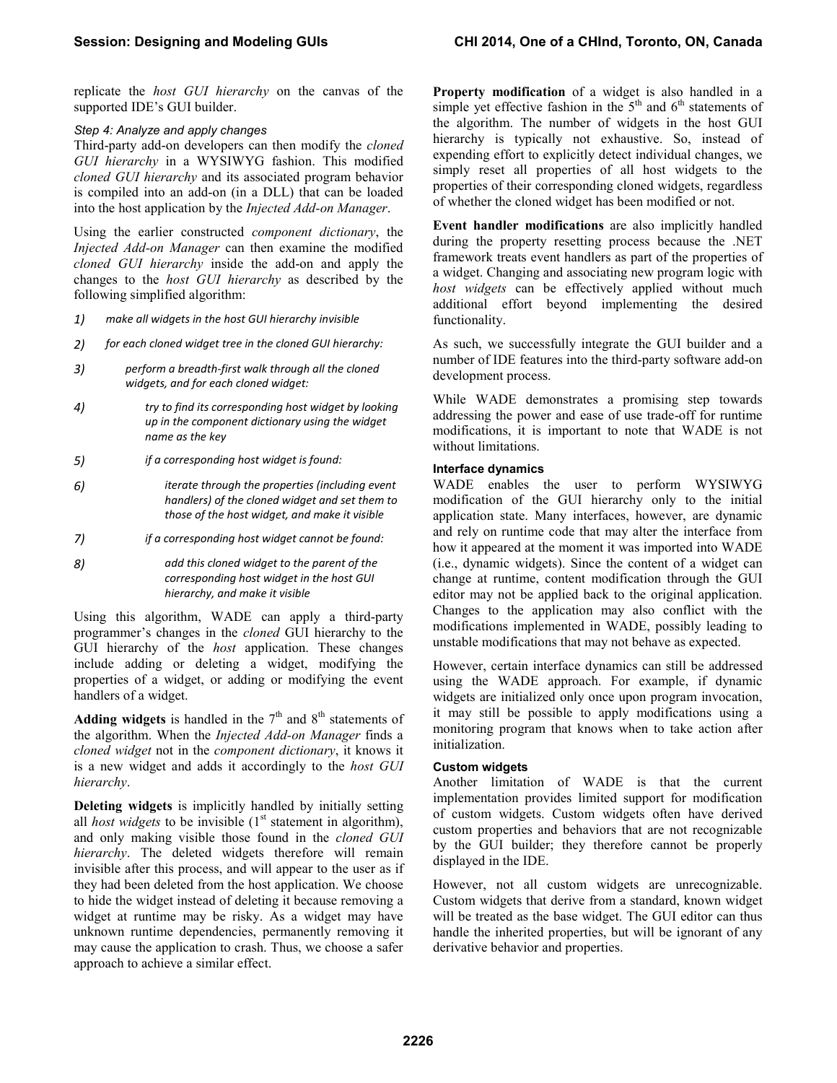replicate the *host GUI hierarchy* on the canvas of the supported IDE's GUI builder.

#### *Step 4: Analyze and apply changes*

Third-party add-on developers can then modify the *cloned GUI hierarchy* in a WYSIWYG fashion. This modified *cloned GUI hierarchy* and its associated program behavior is compiled into an add-on (in a DLL) that can be loaded into the host application by the *Injected Add-on Manager*.

Using the earlier constructed *component dictionary*, the *Injected Add-on Manager* can then examine the modified *cloned GUI hierarchy* inside the add-on and apply the changes to the *host GUI hierarchy* as described by the following simplified algorithm:

- *1) make all widgets in the host GUI hierarchy invisible*
- *2) for each cloned widget tree in the cloned GUI hierarchy:*
- *3) perform a breadth-first walk through all the cloned widgets, and for each cloned widget:*
- *4) try to find its corresponding host widget by looking up in the component dictionary using the widget name as the key*
- *5) if a corresponding host widget is found:*
- *6) iterate through the properties (including event handlers) of the cloned widget and set them to those of the host widget, and make it visible*
- *7) if a corresponding host widget cannot be found:*
- *8) add this cloned widget to the parent of the corresponding host widget in the host GUI hierarchy, and make it visible*

Using this algorithm, WADE can apply a third-party programmer's changes in the *cloned* GUI hierarchy to the GUI hierarchy of the *host* application. These changes include adding or deleting a widget, modifying the properties of a widget, or adding or modifying the event handlers of a widget.

Adding widgets is handled in the  $7<sup>th</sup>$  and  $8<sup>th</sup>$  statements of the algorithm. When the *Injected Add-on Manager* finds a *cloned widget* not in the *component dictionary*, it knows it is a new widget and adds it accordingly to the *host GUI hierarchy*.

**Deleting widgets** is implicitly handled by initially setting all *host widgets* to be invisible  $(1<sup>st</sup> statement in algorithm)$ , and only making visible those found in the *cloned GUI hierarchy*. The deleted widgets therefore will remain invisible after this process, and will appear to the user as if they had been deleted from the host application. We choose to hide the widget instead of deleting it because removing a widget at runtime may be risky. As a widget may have unknown runtime dependencies, permanently removing it may cause the application to crash. Thus, we choose a safer approach to achieve a similar effect.

**Property modification** of a widget is also handled in a simple yet effective fashion in the  $5<sup>th</sup>$  and  $6<sup>th</sup>$  statements of the algorithm. The number of widgets in the host GUI hierarchy is typically not exhaustive. So, instead of expending effort to explicitly detect individual changes, we simply reset all properties of all host widgets to the properties of their corresponding cloned widgets, regardless of whether the cloned widget has been modified or not.

**Event handler modifications** are also implicitly handled during the property resetting process because the .NET framework treats event handlers as part of the properties of a widget. Changing and associating new program logic with *host widgets* can be effectively applied without much additional effort beyond implementing the desired functionality.

As such, we successfully integrate the GUI builder and a number of IDE features into the third-party software add-on development process.

While WADE demonstrates a promising step towards addressing the power and ease of use trade-off for runtime modifications, it is important to note that WADE is not without limitations.

#### **Interface dynamics**

WADE enables the user to perform WYSIWYG modification of the GUI hierarchy only to the initial application state. Many interfaces, however, are dynamic and rely on runtime code that may alter the interface from how it appeared at the moment it was imported into WADE (i.e., dynamic widgets). Since the content of a widget can change at runtime, content modification through the GUI editor may not be applied back to the original application. Changes to the application may also conflict with the modifications implemented in WADE, possibly leading to unstable modifications that may not behave as expected.

However, certain interface dynamics can still be addressed using the WADE approach. For example, if dynamic widgets are initialized only once upon program invocation, it may still be possible to apply modifications using a monitoring program that knows when to take action after initialization.

#### **Custom widgets**

Another limitation of WADE is that the current implementation provides limited support for modification of custom widgets. Custom widgets often have derived custom properties and behaviors that are not recognizable by the GUI builder; they therefore cannot be properly displayed in the IDE.

However, not all custom widgets are unrecognizable. Custom widgets that derive from a standard, known widget will be treated as the base widget. The GUI editor can thus handle the inherited properties, but will be ignorant of any derivative behavior and properties.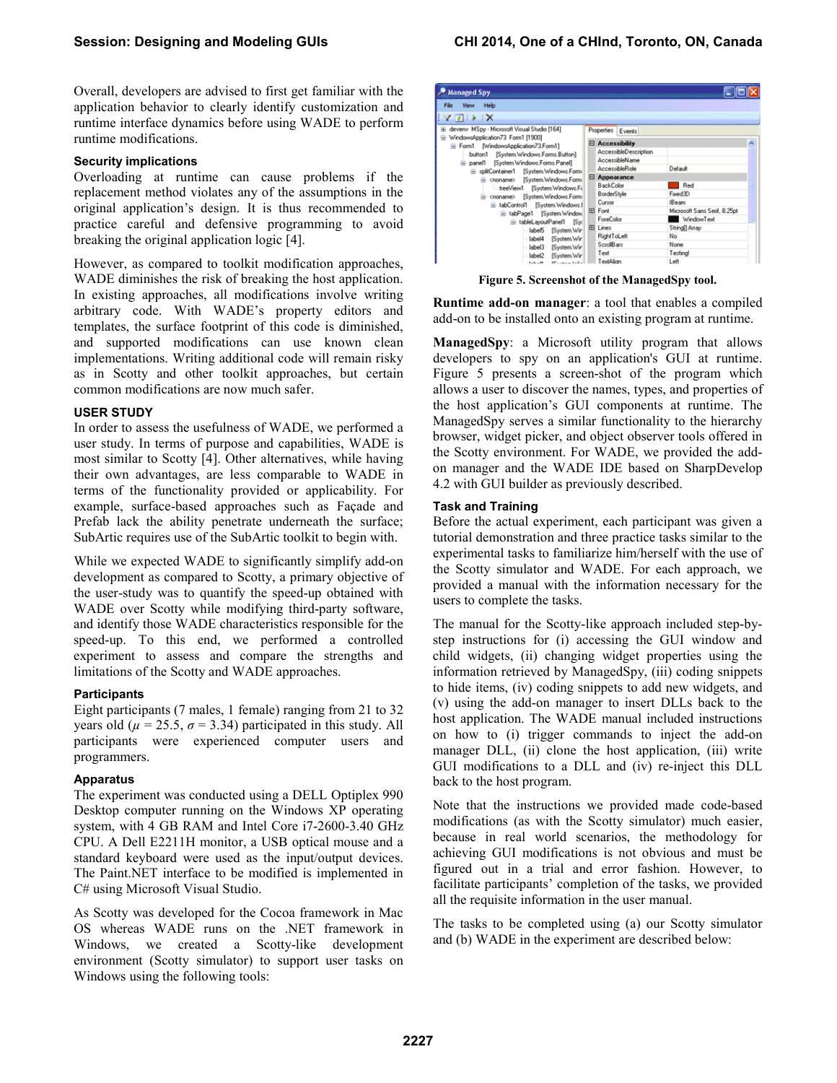Overall, developers are advised to first get familiar with the application behavior to clearly identify customization and runtime interface dynamics before using WADE to perform runtime modifications.

#### **Security implications**

Overloading at runtime can cause problems if the replacement method violates any of the assumptions in the original application's design. It is thus recommended to practice careful and defensive programming to avoid breaking the original application logic [\[4\]](#page-9-6).

However, as compared to toolkit modification approaches, WADE diminishes the risk of breaking the host application. In existing approaches, all modifications involve writing arbitrary code. With WADE's property editors and templates, the surface footprint of this code is diminished, and supported modifications can use known clean implementations. Writing additional code will remain risky as in Scotty and other toolkit approaches, but certain common modifications are now much safer.

#### **USER STUDY**

In order to assess the usefulness of WADE, we performed a user study. In terms of purpose and capabilities, WADE is most similar to Scotty [\[4\]](#page-9-6). Other alternatives, while having their own advantages, are less comparable to WADE in terms of the functionality provided or applicability. For example, surface-based approaches such as Façade and Prefab lack the ability penetrate underneath the surface; SubArtic requires use of the SubArtic toolkit to begin with.

While we expected WADE to significantly simplify add-on development as compared to Scotty, a primary objective of the user-study was to quantify the speed-up obtained with WADE over Scotty while modifying third-party software, and identify those WADE characteristics responsible for the speed-up. To this end, we performed a controlled experiment to assess and compare the strengths and limitations of the Scotty and WADE approaches.

#### **Participants**

Eight participants (7 males, 1 female) ranging from 21 to 32 years old ( $\mu$  = 25.5,  $\sigma$  = 3.34) participated in this study. All participants were experienced computer users and programmers.

#### **Apparatus**

The experiment was conducted using a DELL Optiplex 990 Desktop computer running on the Windows XP operating system, with 4 GB RAM and Intel Core i7-2600-3.40 GHz CPU. A Dell E2211H monitor, a USB optical mouse and a standard keyboard were used as the input/output devices. The Paint.NET interface to be modified is implemented in C# using Microsoft Visual Studio.

As Scotty was developed for the Cocoa framework in Mac OS whereas WADE runs on the .NET framework in Windows, we created a Scotty-like development environment (Scotty simulator) to support user tasks on Windows using the following tools:



**Figure 5. Screenshot of the ManagedSpy tool.**

**Runtime add-on manager**: a tool that enables a compiled add-on to be installed onto an existing program at runtime.

**ManagedSpy**: a Microsoft utility program that allows developers to spy on an application's GUI at runtime. Figure 5 presents a screen-shot of the program which allows a user to discover the names, types, and properties of the host application's GUI components at runtime. The ManagedSpy serves a similar functionality to the hierarchy browser, widget picker, and object observer tools offered in the Scotty environment. For WADE, we provided the addon manager and the WADE IDE based on SharpDevelop 4.2 with GUI builder as previously described.

#### **Task and Training**

Before the actual experiment, each participant was given a tutorial demonstration and three practice tasks similar to the experimental tasks to familiarize him/herself with the use of the Scotty simulator and WADE. For each approach, we provided a manual with the information necessary for the users to complete the tasks.

The manual for the Scotty-like approach included step-bystep instructions for (i) accessing the GUI window and child widgets, (ii) changing widget properties using the information retrieved by ManagedSpy, (iii) coding snippets to hide items, (iv) coding snippets to add new widgets, and (v) using the add-on manager to insert DLLs back to the host application. The WADE manual included instructions on how to (i) trigger commands to inject the add-on manager DLL, (ii) clone the host application, (iii) write GUI modifications to a DLL and (iv) re-inject this DLL back to the host program.

Note that the instructions we provided made code-based modifications (as with the Scotty simulator) much easier, because in real world scenarios, the methodology for achieving GUI modifications is not obvious and must be figured out in a trial and error fashion. However, to facilitate participants' completion of the tasks, we provided all the requisite information in the user manual.

The tasks to be completed using (a) our Scotty simulator and (b) WADE in the experiment are described below: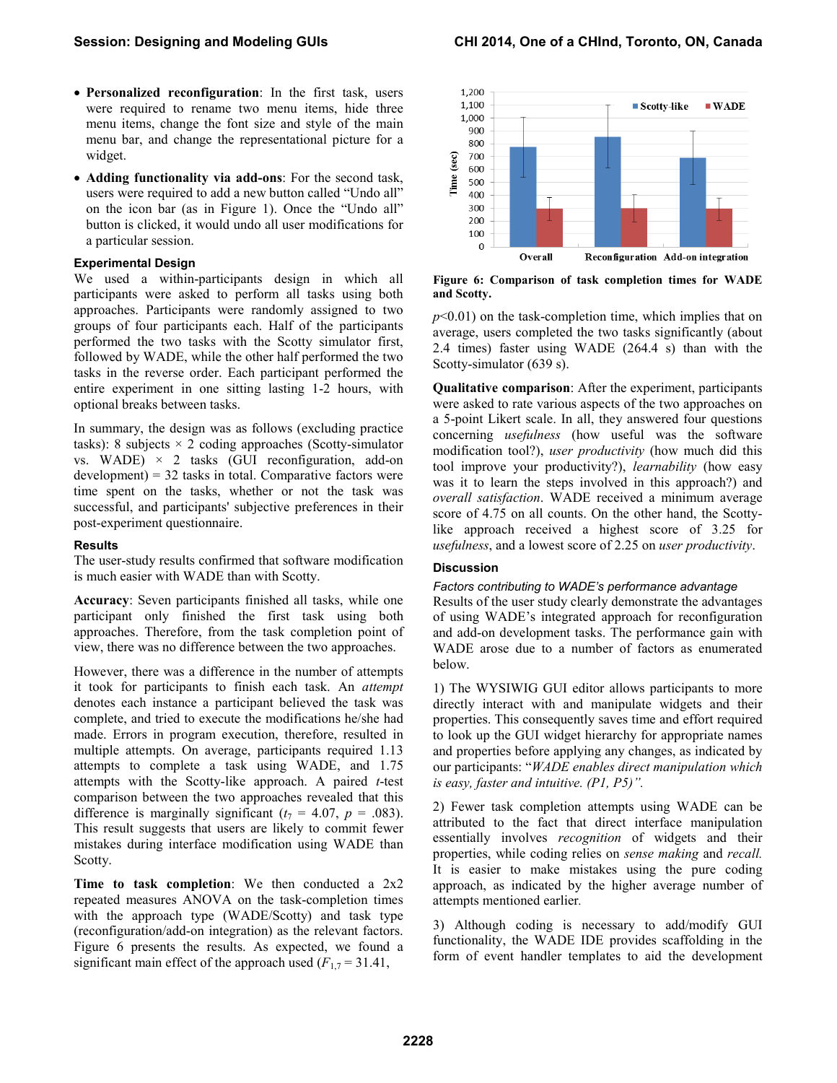- **Personalized reconfiguration**: In the first task, users were required to rename two menu items, hide three menu items, change the font size and style of the main menu bar, and change the representational picture for a widget.
- **Adding functionality via add-ons**: For the second task, users were required to add a new button called "Undo all" on the icon bar (as in Figure 1). Once the "Undo all" button is clicked, it would undo all user modifications for a particular session.

#### **Experimental Design**

We used a within-participants design in which all participants were asked to perform all tasks using both approaches. Participants were randomly assigned to two groups of four participants each. Half of the participants performed the two tasks with the Scotty simulator first, followed by WADE, while the other half performed the two tasks in the reverse order. Each participant performed the entire experiment in one sitting lasting 1-2 hours, with optional breaks between tasks.

In summary, the design was as follows (excluding practice tasks): 8 subjects  $\times$  2 coding approaches (Scotty-simulator vs. WADE)  $\times$  2 tasks (GUI reconfiguration, add-on  $development$ ) = 32 tasks in total. Comparative factors were time spent on the tasks, whether or not the task was successful, and participants' subjective preferences in their post-experiment questionnaire.

#### **Results**

The user-study results confirmed that software modification is much easier with WADE than with Scotty.

**Accuracy**: Seven participants finished all tasks, while one participant only finished the first task using both approaches. Therefore, from the task completion point of view, there was no difference between the two approaches.

However, there was a difference in the number of attempts it took for participants to finish each task. An *attempt* denotes each instance a participant believed the task was complete, and tried to execute the modifications he/she had made. Errors in program execution, therefore, resulted in multiple attempts. On average, participants required 1.13 attempts to complete a task using WADE, and 1.75 attempts with the Scotty-like approach. A paired *t*-test comparison between the two approaches revealed that this difference is marginally significant  $(t_7 = 4.07, p = .083)$ . This result suggests that users are likely to commit fewer mistakes during interface modification using WADE than Scotty.

**Time to task completion**: We then conducted a 2x2 repeated measures ANOVA on the task-completion times with the approach type (WADE/Scotty) and task type (reconfiguration/add-on integration) as the relevant factors. Figure 6 presents the results. As expected, we found a significant main effect of the approach used  $(F_{1,7} = 31.41)$ ,



**Figure 6: Comparison of task completion times for WADE and Scotty.** 

*p*<0.01) on the task-completion time, which implies that on average, users completed the two tasks significantly (about 2.4 times) faster using WADE (264.4 s) than with the Scotty-simulator (639 s).

**Qualitative comparison**: After the experiment, participants were asked to rate various aspects of the two approaches on a 5-point Likert scale. In all, they answered four questions concerning *usefulness* (how useful was the software modification tool?), *user productivity* (how much did this tool improve your productivity?), *learnability* (how easy was it to learn the steps involved in this approach?) and *overall satisfaction*. WADE received a minimum average score of 4.75 on all counts. On the other hand, the Scottylike approach received a highest score of 3.25 for *usefulness*, and a lowest score of 2.25 on *user productivity*.

#### **Discussion**

#### *Factors contributing to WADE's performance advantage*

Results of the user study clearly demonstrate the advantages of using WADE's integrated approach for reconfiguration and add-on development tasks. The performance gain with WADE arose due to a number of factors as enumerated below.

1) The WYSIWIG GUI editor allows participants to more directly interact with and manipulate widgets and their properties. This consequently saves time and effort required to look up the GUI widget hierarchy for appropriate names and properties before applying any changes, as indicated by our participants: "*WADE enables direct manipulation which is easy, faster and intuitive. (P1, P5)".* 

2) Fewer task completion attempts using WADE can be attributed to the fact that direct interface manipulation essentially involves *recognition* of widgets and their properties, while coding relies on *sense making* and *recall.*  It is easier to make mistakes using the pure coding approach, as indicated by the higher average number of attempts mentioned earlier*.*

3) Although coding is necessary to add/modify GUI functionality, the WADE IDE provides scaffolding in the form of event handler templates to aid the development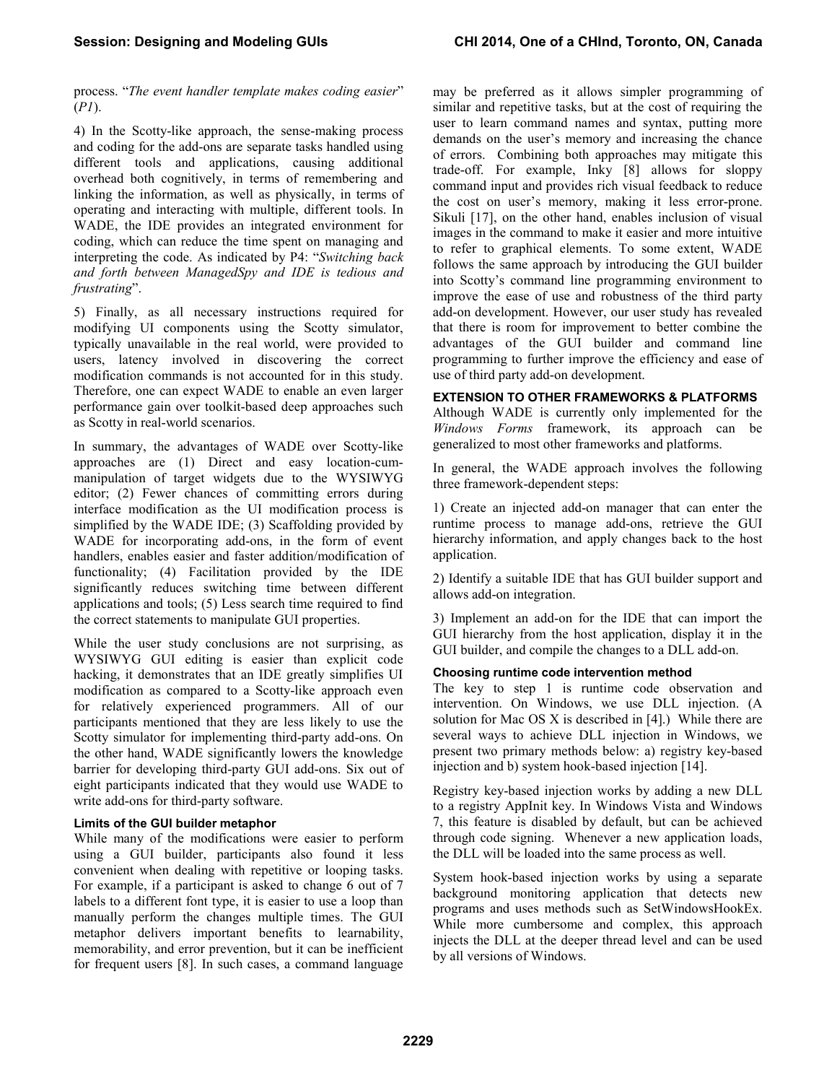#### process. "*The event handler template makes coding easier*" (*P1*).

4) In the Scotty-like approach, the sense-making process and coding for the add-ons are separate tasks handled using different tools and applications, causing additional overhead both cognitively, in terms of remembering and linking the information, as well as physically, in terms of operating and interacting with multiple, different tools. In WADE, the IDE provides an integrated environment for coding, which can reduce the time spent on managing and interpreting the code. As indicated by P4: "*Switching back and forth between ManagedSpy and IDE is tedious and frustrating*".

5) Finally, as all necessary instructions required for modifying UI components using the Scotty simulator, typically unavailable in the real world, were provided to users, latency involved in discovering the correct modification commands is not accounted for in this study. Therefore, one can expect WADE to enable an even larger performance gain over toolkit-based deep approaches such as Scotty in real-world scenarios.

In summary, the advantages of WADE over Scotty-like approaches are (1) Direct and easy location-cummanipulation of target widgets due to the WYSIWYG editor; (2) Fewer chances of committing errors during interface modification as the UI modification process is simplified by the WADE IDE; (3) Scaffolding provided by WADE for incorporating add-ons, in the form of event handlers, enables easier and faster addition/modification of functionality; (4) Facilitation provided by the IDE significantly reduces switching time between different applications and tools; (5) Less search time required to find the correct statements to manipulate GUI properties.

While the user study conclusions are not surprising, as WYSIWYG GUI editing is easier than explicit code hacking, it demonstrates that an IDE greatly simplifies UI modification as compared to a Scotty-like approach even for relatively experienced programmers. All of our participants mentioned that they are less likely to use the Scotty simulator for implementing third-party add-ons. On the other hand, WADE significantly lowers the knowledge barrier for developing third-party GUI add-ons. Six out of eight participants indicated that they would use WADE to write add-ons for third-party software.

#### **Limits of the GUI builder metaphor**

While many of the modifications were easier to perform using a GUI builder, participants also found it less convenient when dealing with repetitive or looping tasks. For example, if a participant is asked to change 6 out of 7 labels to a different font type, it is easier to use a loop than manually perform the changes multiple times. The GUI metaphor delivers important benefits to learnability, memorability, and error prevention, but it can be inefficient for frequent users [\[8\]](#page-9-14). In such cases, a command language

may be preferred as it allows simpler programming of similar and repetitive tasks, but at the cost of requiring the user to learn command names and syntax, putting more demands on the user's memory and increasing the chance of errors. Combining both approaches may mitigate this trade-off. For example, Inky [\[8\]](#page-9-14) allows for sloppy command input and provides rich visual feedback to reduce the cost on user's memory, making it less error-prone. Sikuli [\[17\]](#page-9-10), on the other hand, enables inclusion of visual images in the command to make it easier and more intuitive to refer to graphical elements. To some extent, WADE follows the same approach by introducing the GUI builder into Scotty's command line programming environment to improve the ease of use and robustness of the third party add-on development. However, our user study has revealed that there is room for improvement to better combine the advantages of the GUI builder and command line programming to further improve the efficiency and ease of use of third party add-on development.

#### **EXTENSION TO OTHER FRAMEWORKS & PLATFORMS**

Although WADE is currently only implemented for the *Windows Forms* framework, its approach can be generalized to most other frameworks and platforms.

In general, the WADE approach involves the following three framework-dependent steps:

1) Create an injected add-on manager that can enter the runtime process to manage add-ons, retrieve the GUI hierarchy information, and apply changes back to the host application.

2) Identify a suitable IDE that has GUI builder support and allows add-on integration.

3) Implement an add-on for the IDE that can import the GUI hierarchy from the host application, display it in the GUI builder, and compile the changes to a DLL add-on.

#### **Choosing runtime code intervention method**

The key to step 1 is runtime code observation and intervention. On Windows, we use DLL injection. (A solution for Mac OS X is described in [\[4\]](#page-9-6).) While there are several ways to achieve DLL injection in Windows, we present two primary methods below: a) registry key-based injection and b) system hook-based injection [\[14\]](#page-9-5).

Registry key-based injection works by adding a new DLL to a registry AppInit key. In Windows Vista and Windows 7, this feature is disabled by default, but can be achieved through code signing. Whenever a new application loads, the DLL will be loaded into the same process as well.

System hook-based injection works by using a separate background monitoring application that detects new programs and uses methods such as SetWindowsHookEx. While more cumbersome and complex, this approach injects the DLL at the deeper thread level and can be used by all versions of Windows.